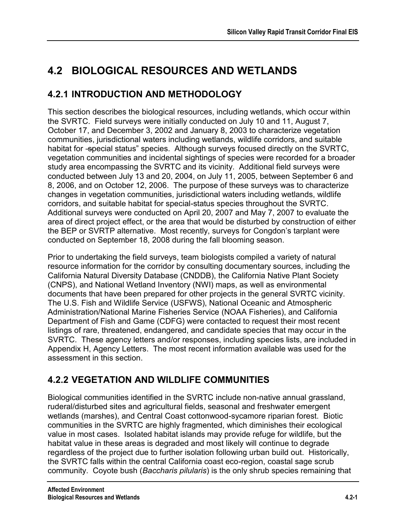# **4.2 BIOLOGICAL RESOURCES AND WETLANDS**

## **4.2.1 INTRODUCTION AND METHODOLOGY**

This section describes the biological resources, including wetlands, which occur within the SVRTC. Field surveys were initially conducted on July 10 and 11, August 7, October 17, and December 3, 2002 and January 8, 2003 to characterize vegetation communities, jurisdictional waters including wetlands, wildlife corridors, and suitable habitat for -special status" species. Although surveys focused directly on the SVRTC, vegetation communities and incidental sightings of species were recorded for a broader study area encompassing the SVRTC and its vicinity. Additional field surveys were conducted between July 13 and 20, 2004, on July 11, 2005, between September 6 and 8, 2006, and on October 12, 2006. The purpose of these surveys was to characterize changes in vegetation communities, jurisdictional waters including wetlands, wildlife corridors, and suitable habitat for special-status species throughout the SVRTC. Additional surveys were conducted on April 20, 2007 and May 7, 2007 to evaluate the area of direct project effect, or the area that would be disturbed by construction of either the BEP or SVRTP alternative. Most recently, surveys for Congdon's tarplant were conducted on September 18, 2008 during the fall blooming season.

Prior to undertaking the field surveys, team biologists compiled a variety of natural resource information for the corridor by consulting documentary sources, including the California Natural Diversity Database (CNDDB), the California Native Plant Society (CNPS), and National Wetland Inventory (NWI) maps, as well as environmental documents that have been prepared for other projects in the general SVRTC vicinity. The U.S. Fish and Wildlife Service (USFWS), National Oceanic and Atmospheric Administration/National Marine Fisheries Service (NOAA Fisheries), and California Department of Fish and Game (CDFG) were contacted to request their most recent listings of rare, threatened, endangered, and candidate species that may occur in the SVRTC. These agency letters and/or responses, including species lists, are included in Appendix H, Agency Letters. The most recent information available was used for the assessment in this section.

## **4.2.2 VEGETATION AND WILDLIFE COMMUNITIES**

Biological communities identified in the SVRTC include non-native annual grassland, ruderal/disturbed sites and agricultural fields, seasonal and freshwater emergent wetlands (marshes), and Central Coast cottonwood-sycamore riparian forest. Biotic communities in the SVRTC are highly fragmented, which diminishes their ecological value in most cases. Isolated habitat islands may provide refuge for wildlife, but the habitat value in these areas is degraded and most likely will continue to degrade regardless of the project due to further isolation following urban build out. Historically, the SVRTC falls within the central California coast eco-region, coastal sage scrub community. Coyote bush (*Baccharis pilularis*) is the only shrub species remaining that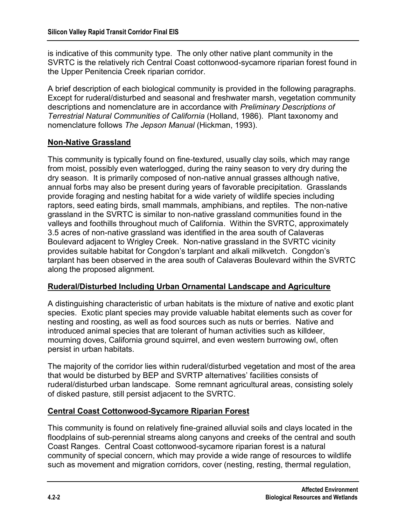is indicative of this community type. The only other native plant community in the SVRTC is the relatively rich Central Coast cottonwood-sycamore riparian forest found in the Upper Penitencia Creek riparian corridor.

A brief description of each biological community is provided in the following paragraphs. Except for ruderal/disturbed and seasonal and freshwater marsh, vegetation community descriptions and nomenclature are in accordance with *Preliminary Descriptions of Terrestrial Natural Communities of California* (Holland, 1986). Plant taxonomy and nomenclature follows *The Jepson Manual* (Hickman, 1993).

#### **Non-Native Grassland**

This community is typically found on fine-textured, usually clay soils, which may range from moist, possibly even waterlogged, during the rainy season to very dry during the dry season. It is primarily composed of non-native annual grasses although native, annual forbs may also be present during years of favorable precipitation. Grasslands provide foraging and nesting habitat for a wide variety of wildlife species including raptors, seed eating birds, small mammals, amphibians, and reptiles. The non-native grassland in the SVRTC is similar to non-native grassland communities found in the valleys and foothills throughout much of California. Within the SVRTC, approximately 3.5 acres of non-native grassland was identified in the area south of Calaveras Boulevard adjacent to Wrigley Creek. Non-native grassland in the SVRTC vicinity provides suitable habitat for Congdon's tarplant and alkali milkvetch. Congdon's tarplant has been observed in the area south of Calaveras Boulevard within the SVRTC along the proposed alignment.

#### **Ruderal/Disturbed Including Urban Ornamental Landscape and Agriculture**

A distinguishing characteristic of urban habitats is the mixture of native and exotic plant species. Exotic plant species may provide valuable habitat elements such as cover for nesting and roosting, as well as food sources such as nuts or berries. Native and introduced animal species that are tolerant of human activities such as killdeer, mourning doves, California ground squirrel, and even western burrowing owl, often persist in urban habitats.

The majority of the corridor lies within ruderal/disturbed vegetation and most of the area that would be disturbed by BEP and SVRTP alternatives' facilities consists of ruderal/disturbed urban landscape. Some remnant agricultural areas, consisting solely of disked pasture, still persist adjacent to the SVRTC.

#### **Central Coast Cottonwood-Sycamore Riparian Forest**

This community is found on relatively fine-grained alluvial soils and clays located in the floodplains of sub-perennial streams along canyons and creeks of the central and south Coast Ranges. Central Coast cottonwood-sycamore riparian forest is a natural community of special concern, which may provide a wide range of resources to wildlife such as movement and migration corridors, cover (nesting, resting, thermal regulation,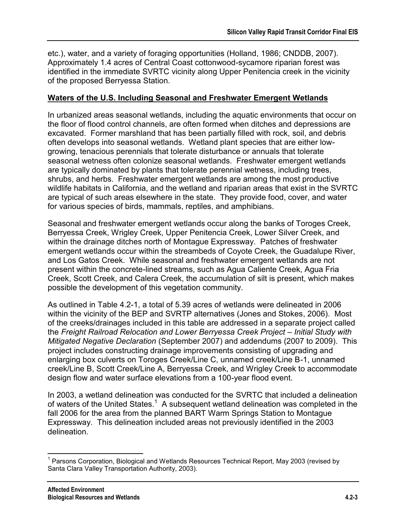etc.), water, and a variety of foraging opportunities (Holland, 1986; CNDDB, 2007). Approximately 1.4 acres of Central Coast cottonwood-sycamore riparian forest was identified in the immediate SVRTC vicinity along Upper Penitencia creek in the vicinity of the proposed Berryessa Station.

#### **Waters of the U.S. Including Seasonal and Freshwater Emergent Wetlands**

In urbanized areas seasonal wetlands, including the aquatic environments that occur on the floor of flood control channels, are often formed when ditches and depressions are excavated. Former marshland that has been partially filled with rock, soil, and debris often develops into seasonal wetlands. Wetland plant species that are either lowgrowing, tenacious perennials that tolerate disturbance or annuals that tolerate seasonal wetness often colonize seasonal wetlands. Freshwater emergent wetlands are typically dominated by plants that tolerate perennial wetness, including trees, shrubs, and herbs. Freshwater emergent wetlands are among the most productive wildlife habitats in California, and the wetland and riparian areas that exist in the SVRTC are typical of such areas elsewhere in the state. They provide food, cover, and water for various species of birds, mammals, reptiles, and amphibians.

Seasonal and freshwater emergent wetlands occur along the banks of Toroges Creek, Berryessa Creek, Wrigley Creek, Upper Penitencia Creek, Lower Silver Creek, and within the drainage ditches north of Montague Expressway. Patches of freshwater emergent wetlands occur within the streambeds of Coyote Creek, the Guadalupe River, and Los Gatos Creek. While seasonal and freshwater emergent wetlands are not present within the concrete-lined streams, such as Agua Caliente Creek, Agua Fria Creek, Scott Creek, and Calera Creek, the accumulation of silt is present, which makes possible the development of this vegetation community.

As outlined in Table 4.2-1, a total of 5.39 acres of wetlands were delineated in 2006 within the vicinity of the BEP and SVRTP alternatives (Jones and Stokes, 2006). Most of the creeks/drainages included in this table are addressed in a separate project called the *Freight Railroad Relocation and Lower Berryessa Creek Project – Initial Study with Mitigated Negative Declaration* (September 2007) and addendums (2007 to 2009). This project includes constructing drainage improvements consisting of upgrading and enlarging box culverts on Toroges Creek/Line C, unnamed creek/Line B-1, unnamed creek/Line B, Scott Creek/Line A, Berryessa Creek, and Wrigley Creek to accommodate design flow and water surface elevations from a 100-year flood event.

In 2003, a wetland delineation was conducted for the SVRTC that included a delineation of waters of the United States.<sup>1</sup> A subsequent wetland delineation was completed in the fall 2006 for the area from the planned BART Warm Springs Station to Montague Expressway. This delineation included areas not previously identified in the 2003 delineation.

 $\overline{\phantom{a}}$ <sup>1</sup> Parsons Corporation, Biological and Wetlands Resources Technical Report, May 2003 (revised by Santa Clara Valley Transportation Authority, 2003).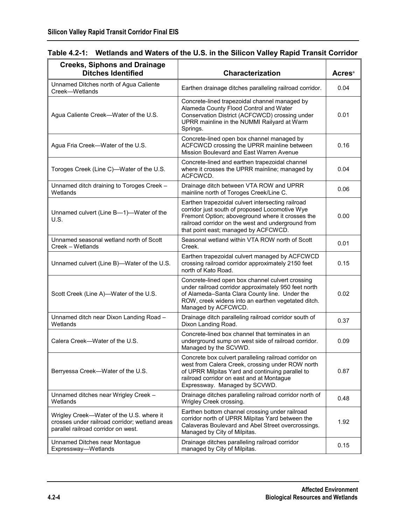| <b>Creeks, Siphons and Drainage</b><br><b>Ditches Identified</b>                                                                  | <b>Characterization</b>                                                                                                                                                                                                                               | <b>Acres</b> <sup>a</sup> |
|-----------------------------------------------------------------------------------------------------------------------------------|-------------------------------------------------------------------------------------------------------------------------------------------------------------------------------------------------------------------------------------------------------|---------------------------|
| Unnamed Ditches north of Agua Caliente<br>Creek-Wetlands                                                                          | Earthen drainage ditches paralleling railroad corridor.                                                                                                                                                                                               | 0.04                      |
| Agua Caliente Creek-Water of the U.S.                                                                                             | Concrete-lined trapezoidal channel managed by<br>Alameda County Flood Control and Water<br>Conservation District (ACFCWCD) crossing under<br>UPRR mainline in the NUMMI Railyard at Warm<br>Springs.                                                  | 0.01                      |
| Agua Fria Creek-Water of the U.S.                                                                                                 | Concrete-lined open box channel managed by<br>ACFCWCD crossing the UPRR mainline between<br>Mission Boulevard and East Warren Avenue                                                                                                                  | 0.16                      |
| Toroges Creek (Line C)—Water of the U.S.                                                                                          | Concrete-lined and earthen trapezoidal channel<br>where it crosses the UPRR mainline; managed by<br>ACFCWCD.                                                                                                                                          | 0.04                      |
| Unnamed ditch draining to Toroges Creek -<br>Wetlands                                                                             | Drainage ditch between VTA ROW and UPRR<br>mainline north of Toroges Creek/Line C.                                                                                                                                                                    | 0.06                      |
| Unnamed culvert (Line B-1)-Water of the<br>U.S.                                                                                   | Earthen trapezoidal culvert intersecting railroad<br>corridor just south of proposed Locomotive Wye<br>Fremont Option; aboveground where it crosses the<br>railroad corridor on the west and underground from<br>that point east; managed by ACFCWCD. | 0.00                      |
| Unnamed seasonal wetland north of Scott<br>Creek - Wetlands                                                                       | Seasonal wetland within VTA ROW north of Scott<br>Creek.                                                                                                                                                                                              | 0.01                      |
| Unnamed culvert (Line B)-Water of the U.S.                                                                                        | Earthen trapezoidal culvert managed by ACFCWCD<br>crossing railroad corridor approximately 2150 feet<br>north of Kato Road.                                                                                                                           | 0.15                      |
| Scott Creek (Line A)-Water of the U.S.                                                                                            | Concrete-lined open box channel culvert crossing<br>under railroad corridor approximately 950 feet north<br>of Alameda-Santa Clara County line. Under the<br>ROW, creek widens into an earthen vegetated ditch.<br>Managed by ACFCWCD.                | 0.02                      |
| Unnamed ditch near Dixon Landing Road -<br>Wetlands                                                                               | Drainage ditch paralleling railroad corridor south of<br>Dixon Landing Road.                                                                                                                                                                          | 0.37                      |
| Calera Creek-Water of the U.S.                                                                                                    | Concrete-lined box channel that terminates in an<br>underground sump on west side of railroad corridor.<br>Managed by the SCVWD.                                                                                                                      | 0.09                      |
| Berryessa Creek—Water of the U.S.                                                                                                 | Concrete box culvert paralleling railroad corridor on<br>west from Calera Creek, crossing under ROW north<br>of UPRR Milpitas Yard and continuing parallel to<br>railroad corridor on east and at Montague<br>Expressway. Managed by SCVWD.           | 0.87                      |
| Unnamed ditches near Wrigley Creek -<br>Wetlands                                                                                  | Drainage ditches paralleling railroad corridor north of<br>Wrigley Creek crossing.                                                                                                                                                                    | 0.48                      |
| Wrigley Creek-Water of the U.S. where it<br>crosses under railroad corridor; wetland areas<br>parallel railroad corridor on west. | Earthen bottom channel crossing under railroad<br>corridor north of UPRR Milpitas Yard between the<br>Calaveras Boulevard and Abel Street overcrossings.<br>Managed by City of Milpitas.                                                              | 1.92                      |
| Unnamed Ditches near Montague<br>Expressway-Wetlands                                                                              | Drainage ditches paralleling railroad corridor<br>managed by City of Milpitas.                                                                                                                                                                        | 0.15                      |

## **Table 4.2-1: Wetlands and Waters of the U.S. in the Silicon Valley Rapid Transit Corridor**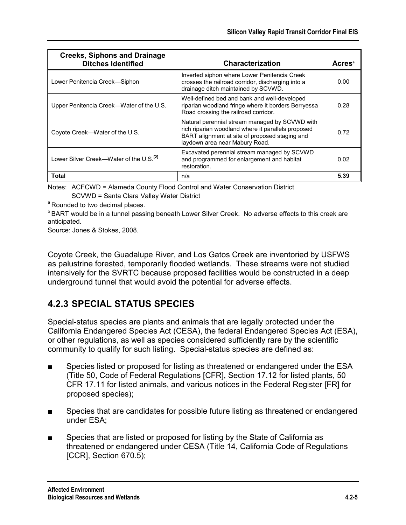| <b>Creeks, Siphons and Drainage</b><br><b>Ditches Identified</b> | <b>Characterization</b>                                                                                                                                                                  | Acres |
|------------------------------------------------------------------|------------------------------------------------------------------------------------------------------------------------------------------------------------------------------------------|-------|
| Lower Penitencia Creek-Siphon                                    | Inverted siphon where Lower Penitencia Creek<br>crosses the railroad corridor, discharging into a<br>drainage ditch maintained by SCVWD.                                                 | 0.00  |
| Upper Penitencia Creek—Water of the U.S.                         | Well-defined bed and bank and well-developed<br>riparian woodland fringe where it borders Berryessa<br>Road crossing the railroad corridor.                                              | 0.28  |
| Coyote Creek—Water of the U.S.                                   | Natural perennial stream managed by SCVWD with<br>rich riparian woodland where it parallels proposed<br>BART alignment at site of proposed staging and<br>laydown area near Mabury Road. | 0.72  |
| Lower Silver Creek—Water of the U.S. <sup>[2]</sup>              | Excavated perennial stream managed by SCVWD<br>and programmed for enlargement and habitat<br>restoration.                                                                                | 0.02  |
| Total                                                            | n/a                                                                                                                                                                                      | 5.39  |

Notes: ACFCWD = Alameda County Flood Control and Water Conservation District SCVWD = Santa Clara Valley Water District

<sup>a</sup> Rounded to two decimal places.

**BART would be in a tunnel passing beneath Lower Silver Creek. No adverse effects to this creek are** anticipated.

Source: Jones & Stokes, 2008.

Coyote Creek, the Guadalupe River, and Los Gatos Creek are inventoried by USFWS as palustrine forested, temporarily flooded wetlands. These streams were not studied intensively for the SVRTC because proposed facilities would be constructed in a deep underground tunnel that would avoid the potential for adverse effects.

## **4.2.3 SPECIAL STATUS SPECIES**

Special-status species are plants and animals that are legally protected under the California Endangered Species Act (CESA), the federal Endangered Species Act (ESA), or other regulations, as well as species considered sufficiently rare by the scientific community to qualify for such listing. Special-status species are defined as:

- Species listed or proposed for listing as threatened or endangered under the ESA (Title 50, Code of Federal Regulations [CFR], Section 17.12 for listed plants, 50 CFR 17.11 for listed animals, and various notices in the Federal Register [FR] for proposed species);
- Species that are candidates for possible future listing as threatened or endangered under ESA;
- Species that are listed or proposed for listing by the State of California as threatened or endangered under CESA (Title 14, California Code of Regulations [CCR], Section 670.5);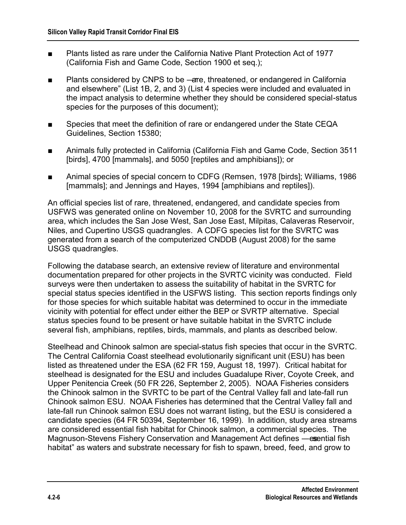- Plants listed as rare under the California Native Plant Protection Act of 1977 (California Fish and Game Code, Section 1900 et seq.);
- Plants considered by CNPS to be —are, threatened, or endangered in California and elsewhere" (List 1B, 2, and 3) (List 4 species were included and evaluated in the impact analysis to determine whether they should be considered special-status species for the purposes of this document);
- Species that meet the definition of rare or endangered under the State CEQA Guidelines, Section 15380;
- Animals fully protected in California (California Fish and Game Code, Section 3511 [birds], 4700 [mammals], and 5050 [reptiles and amphibians]); or
- Animal species of special concern to CDFG (Remsen, 1978 [birds]; Williams, 1986 [mammals]; and Jennings and Hayes, 1994 [amphibians and reptiles]).

An official species list of rare, threatened, endangered, and candidate species from USFWS was generated online on November 10, 2008 for the SVRTC and surrounding area, which includes the San Jose West, San Jose East, Milpitas, Calaveras Reservoir, Niles, and Cupertino USGS quadrangles. A CDFG species list for the SVRTC was generated from a search of the computerized CNDDB (August 2008) for the same USGS quadrangles.

Following the database search, an extensive review of literature and environmental documentation prepared for other projects in the SVRTC vicinity was conducted. Field surveys were then undertaken to assess the suitability of habitat in the SVRTC for special status species identified in the USFWS listing. This section reports findings only for those species for which suitable habitat was determined to occur in the immediate vicinity with potential for effect under either the BEP or SVRTP alternative. Special status species found to be present or have suitable habitat in the SVRTC include several fish, amphibians, reptiles, birds, mammals, and plants as described below.

Steelhead and Chinook salmon are special-status fish species that occur in the SVRTC. The Central California Coast steelhead evolutionarily significant unit (ESU) has been listed as threatened under the ESA (62 FR 159, August 18, 1997). Critical habitat for steelhead is designated for the ESU and includes Guadalupe River, Coyote Creek, and Upper Penitencia Creek (50 FR 226, September 2, 2005). NOAA Fisheries considers the Chinook salmon in the SVRTC to be part of the Central Valley fall and late-fall run Chinook salmon ESU. NOAA Fisheries has determined that the Central Valley fall and late-fall run Chinook salmon ESU does not warrant listing, but the ESU is considered a candidate species (64 FR 50394, September 16, 1999). In addition, study area streams are considered essential fish habitat for Chinook salmon, a commercial species. The Magnuson-Stevens Fishery Conservation and Management Act defines —exential fish habitat" as waters and substrate necessary for fish to spawn, breed, feed, and grow to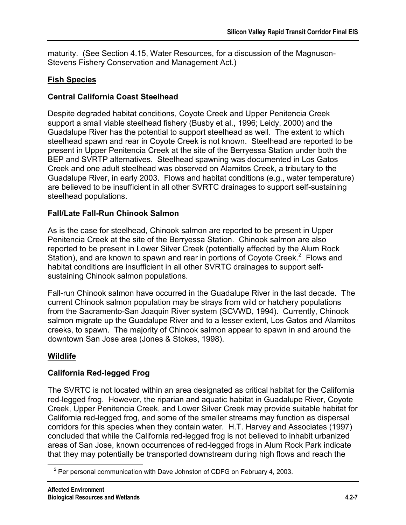maturity. (See Section 4.15, Water Resources, for a discussion of the Magnuson-Stevens Fishery Conservation and Management Act.)

#### **Fish Species**

#### **Central California Coast Steelhead**

Despite degraded habitat conditions, Coyote Creek and Upper Penitencia Creek support a small viable steelhead fishery (Busby et al., 1996; Leidy, 2000) and the Guadalupe River has the potential to support steelhead as well. The extent to which steelhead spawn and rear in Coyote Creek is not known. Steelhead are reported to be present in Upper Penitencia Creek at the site of the Berryessa Station under both the BEP and SVRTP alternatives. Steelhead spawning was documented in Los Gatos Creek and one adult steelhead was observed on Alamitos Creek, a tributary to the Guadalupe River, in early 2003. Flows and habitat conditions (e.g., water temperature) are believed to be insufficient in all other SVRTC drainages to support self-sustaining steelhead populations.

#### **Fall/Late Fall-Run Chinook Salmon**

As is the case for steelhead, Chinook salmon are reported to be present in Upper Penitencia Creek at the site of the Berryessa Station. Chinook salmon are also reported to be present in Lower Silver Creek (potentially affected by the Alum Rock Station), and are known to spawn and rear in portions of Coyote Creek.<sup>2</sup> Flows and habitat conditions are insufficient in all other SVRTC drainages to support selfsustaining Chinook salmon populations.

Fall-run Chinook salmon have occurred in the Guadalupe River in the last decade. The current Chinook salmon population may be strays from wild or hatchery populations from the Sacramento-San Joaquin River system (SCVWD, 1994). Currently, Chinook salmon migrate up the Guadalupe River and to a lesser extent, Los Gatos and Alamitos creeks, to spawn. The majority of Chinook salmon appear to spawn in and around the downtown San Jose area (Jones & Stokes, 1998).

#### **Wildlife**

 $\overline{a}$ 

#### **California Red-legged Frog**

The SVRTC is not located within an area designated as critical habitat for the California red-legged frog. However, the riparian and aquatic habitat in Guadalupe River, Coyote Creek, Upper Penitencia Creek, and Lower Silver Creek may provide suitable habitat for California red-legged frog, and some of the smaller streams may function as dispersal corridors for this species when they contain water. H.T. Harvey and Associates (1997) concluded that while the California red-legged frog is not believed to inhabit urbanized areas of San Jose, known occurrences of red-legged frogs in Alum Rock Park indicate that they may potentially be transported downstream during high flows and reach the

 $2$  Per personal communication with Dave Johnston of CDFG on February 4, 2003.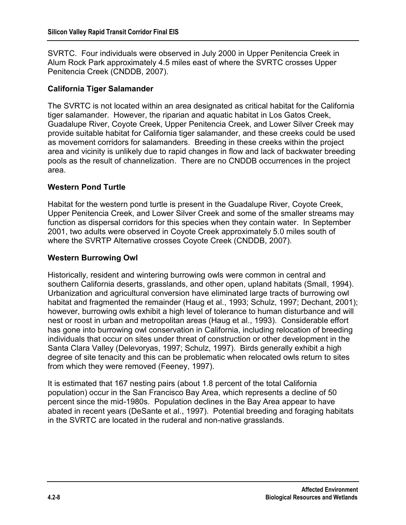SVRTC. Four individuals were observed in July 2000 in Upper Penitencia Creek in Alum Rock Park approximately 4.5 miles east of where the SVRTC crosses Upper Penitencia Creek (CNDDB, 2007).

#### **California Tiger Salamander**

The SVRTC is not located within an area designated as critical habitat for the California tiger salamander. However, the riparian and aquatic habitat in Los Gatos Creek, Guadalupe River, Coyote Creek, Upper Penitencia Creek, and Lower Silver Creek may provide suitable habitat for California tiger salamander, and these creeks could be used as movement corridors for salamanders. Breeding in these creeks within the project area and vicinity is unlikely due to rapid changes in flow and lack of backwater breeding pools as the result of channelization. There are no CNDDB occurrences in the project area.

#### **Western Pond Turtle**

Habitat for the western pond turtle is present in the Guadalupe River, Coyote Creek, Upper Penitencia Creek, and Lower Silver Creek and some of the smaller streams may function as dispersal corridors for this species when they contain water. In September 2001, two adults were observed in Coyote Creek approximately 5.0 miles south of where the SVRTP Alternative crosses Coyote Creek (CNDDB, 2007).

#### **Western Burrowing Owl**

Historically, resident and wintering burrowing owls were common in central and southern California deserts, grasslands, and other open, upland habitats (Small, 1994). Urbanization and agricultural conversion have eliminated large tracts of burrowing owl habitat and fragmented the remainder (Haug et al., 1993; Schulz, 1997; Dechant, 2001); however, burrowing owls exhibit a high level of tolerance to human disturbance and will nest or roost in urban and metropolitan areas (Haug et al., 1993). Considerable effort has gone into burrowing owl conservation in California, including relocation of breeding individuals that occur on sites under threat of construction or other development in the Santa Clara Valley (Delevoryas, 1997; Schulz, 1997). Birds generally exhibit a high degree of site tenacity and this can be problematic when relocated owls return to sites from which they were removed (Feeney, 1997).

It is estimated that 167 nesting pairs (about 1.8 percent of the total California population) occur in the San Francisco Bay Area, which represents a decline of 50 percent since the mid-1980s. Population declines in the Bay Area appear to have abated in recent years (DeSante et al., 1997). Potential breeding and foraging habitats in the SVRTC are located in the ruderal and non-native grasslands.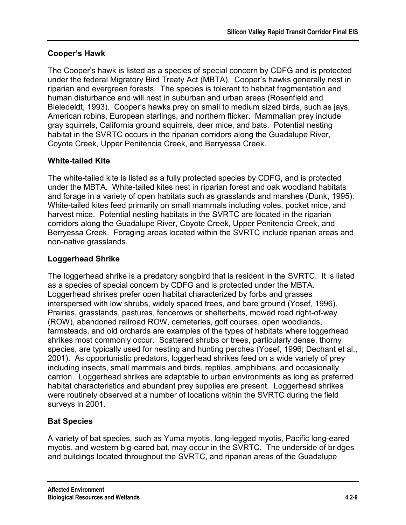## **Cooper's Hawk**

The Cooper's hawk is listed as a species of special concern by CDFG and is protected under the federal Migratory Bird Treaty Act (MBTA). Cooper's hawks generally nest in riparian and evergreen forests. The species is tolerant to habitat fragmentation and human disturbance and will nest in suburban and urban areas (Rosenfield and Bieledeldt, 1993). Cooper's hawks prey on small to medium sized birds, such as jays, American robins, European starlings, and northern flicker. Mammalian prey include gray squirrels, California ground squirrels*,* deer mice, and bats. Potential nesting habitat in the SVRTC occurs in the riparian corridors along the Guadalupe River, Coyote Creek, Upper Penitencia Creek, and Berryessa Creek.

## **White-tailed Kite**

The white-tailed kite is listed as a fully protected species by CDFG, and is protected under the MBTA. White-tailed kites nest in riparian forest and oak woodland habitats and forage in a variety of open habitats such as grasslands and marshes (Dunk, 1995). White-tailed kites feed primarily on small mammals including voles, pocket mice, and harvest mice. Potential nesting habitats in the SVRTC are located in the riparian corridors along the Guadalupe River, Coyote Creek, Upper Penitencia Creek, and Berryessa Creek. Foraging areas located within the SVRTC include riparian areas and non-native grasslands.

## **Loggerhead Shrike**

The loggerhead shrike is a predatory songbird that is resident in the SVRTC. It is listed as a species of special concern by CDFG and is protected under the MBTA. Loggerhead shrikes prefer open habitat characterized by forbs and grasses interspersed with low shrubs, widely spaced trees, and bare ground (Yosef, 1996). Prairies, grasslands, pastures, fencerows or shelterbelts, mowed road right-of-way (ROW), abandoned railroad ROW, cemeteries, golf courses, open woodlands, farmsteads, and old orchards are examples of the types of habitats where loggerhead shrikes most commonly occur. Scattered shrubs or trees, particularly dense, thorny species, are typically used for nesting and hunting perches (Yosef, 1996; Dechant et al., 2001). As opportunistic predators, loggerhead shrikes feed on a wide variety of prey including insects, small mammals and birds, reptiles, amphibians, and occasionally carrion. Loggerhead shrikes are adaptable to urban environments as long as preferred habitat characteristics and abundant prey supplies are present. Loggerhead shrikes were routinely observed at a number of locations within the SVRTC during the field surveys in 2001.

## **Bat Species**

A variety of bat species, such as Yuma myotis, long-legged myotis, Pacific long-eared myotis, and western big-eared bat, may occur in the SVRTC. The underside of bridges and buildings located throughout the SVRTC, and riparian areas of the Guadalupe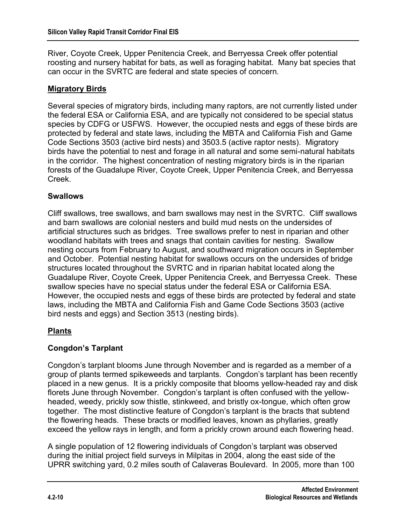River, Coyote Creek, Upper Penitencia Creek, and Berryessa Creek offer potential roosting and nursery habitat for bats, as well as foraging habitat. Many bat species that can occur in the SVRTC are federal and state species of concern.

#### **Migratory Birds**

Several species of migratory birds, including many raptors, are not currently listed under the federal ESA or California ESA, and are typically not considered to be special status species by CDFG or USFWS. However, the occupied nests and eggs of these birds are protected by federal and state laws, including the MBTA and California Fish and Game Code Sections 3503 (active bird nests) and 3503.5 (active raptor nests). Migratory birds have the potential to nest and forage in all natural and some semi-natural habitats in the corridor. The highest concentration of nesting migratory birds is in the riparian forests of the Guadalupe River, Coyote Creek, Upper Penitencia Creek, and Berryessa Creek.

#### **Swallows**

Cliff swallows, tree swallows, and barn swallows may nest in the SVRTC. Cliff swallows and barn swallows are colonial nesters and build mud nests on the undersides of artificial structures such as bridges. Tree swallows prefer to nest in riparian and other woodland habitats with trees and snags that contain cavities for nesting. Swallow nesting occurs from February to August, and southward migration occurs in September and October. Potential nesting habitat for swallows occurs on the undersides of bridge structures located throughout the SVRTC and in riparian habitat located along the Guadalupe River, Coyote Creek, Upper Penitencia Creek, and Berryessa Creek. These swallow species have no special status under the federal ESA or California ESA. However, the occupied nests and eggs of these birds are protected by federal and state laws, including the MBTA and California Fish and Game Code Sections 3503 (active bird nests and eggs) and Section 3513 (nesting birds).

#### **Plants**

#### **Congdon's Tarplant**

Congdon's tarplant blooms June through November and is regarded as a member of a group of plants termed spikeweeds and tarplants. Congdon's tarplant has been recently placed in a new genus. It is a prickly composite that blooms yellow-headed ray and disk florets June through November. Congdon's tarplant is often confused with the yellowheaded, weedy, prickly sow thistle, stinkweed, and bristly ox-tongue, which often grow together. The most distinctive feature of Congdon's tarplant is the bracts that subtend the flowering heads. These bracts or modified leaves, known as phyllaries, greatly exceed the yellow rays in length, and form a prickly crown around each flowering head.

A single population of 12 flowering individuals of Congdon's tarplant was observed during the initial project field surveys in Milpitas in 2004, along the east side of the UPRR switching yard, 0.2 miles south of Calaveras Boulevard. In 2005, more than 100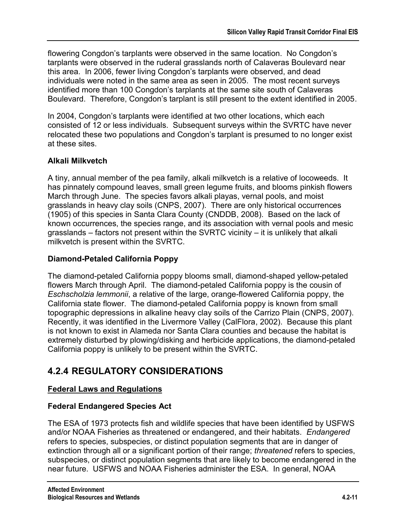flowering Congdon's tarplants were observed in the same location. No Congdon's tarplants were observed in the ruderal grasslands north of Calaveras Boulevard near this area. In 2006, fewer living Congdon's tarplants were observed, and dead individuals were noted in the same area as seen in 2005. The most recent surveys identified more than 100 Congdon's tarplants at the same site south of Calaveras Boulevard. Therefore, Congdon's tarplant is still present to the extent identified in 2005.

In 2004, Congdon's tarplants were identified at two other locations, which each consisted of 12 or less individuals. Subsequent surveys within the SVRTC have never relocated these two populations and Congdon's tarplant is presumed to no longer exist at these sites.

#### **Alkali Milkvetch**

A tiny, annual member of the pea family, alkali milkvetch is a relative of locoweeds. It has pinnately compound leaves, small green legume fruits, and blooms pinkish flowers March through June. The species favors alkali playas, vernal pools, and moist grasslands in heavy clay soils (CNPS, 2007). There are only historical occurrences (1905) of this species in Santa Clara County (CNDDB, 2008). Based on the lack of known occurrences, the species range, and its association with vernal pools and mesic grasslands – factors not present within the SVRTC vicinity – it is unlikely that alkali milkvetch is present within the SVRTC.

#### **Diamond-Petaled California Poppy**

The diamond-petaled California poppy blooms small, diamond-shaped yellow-petaled flowers March through April. The diamond-petaled California poppy is the cousin of *Eschscholzia lemmonii*, a relative of the large, orange-flowered California poppy, the California state flower. The diamond-petaled California poppy is known from small topographic depressions in alkaline heavy clay soils of the Carrizo Plain (CNPS, 2007). Recently, it was identified in the Livermore Valley (CalFlora, 2002). Because this plant is not known to exist in Alameda nor Santa Clara counties and because the habitat is extremely disturbed by plowing/disking and herbicide applications, the diamond-petaled California poppy is unlikely to be present within the SVRTC.

## **4.2.4 REGULATORY CONSIDERATIONS**

#### **Federal Laws and Regulations**

#### **Federal Endangered Species Act**

The ESA of 1973 protects fish and wildlife species that have been identified by USFWS and/or NOAA Fisheries as threatened or endangered, and their habitats. *Endangered*  refers to species, subspecies, or distinct population segments that are in danger of extinction through all or a significant portion of their range; *threatened* refers to species, subspecies, or distinct population segments that are likely to become endangered in the near future. USFWS and NOAA Fisheries administer the ESA. In general, NOAA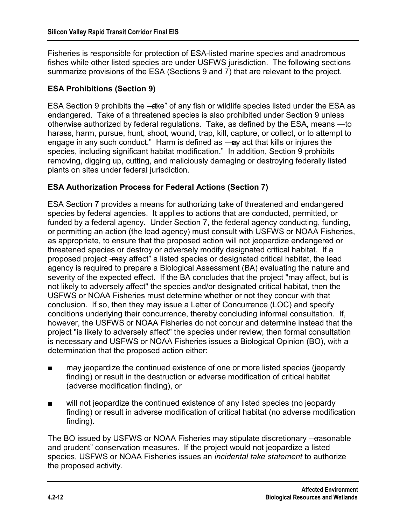Fisheries is responsible for protection of ESA-listed marine species and anadromous fishes while other listed species are under USFWS jurisdiction. The following sections summarize provisions of the ESA (Sections 9 and 7) that are relevant to the project.

#### **ESA Prohibitions (Section 9)**

ESA Section 9 prohibits the —alke" of any fish or wildlife species listed under the ESA as endangered. Take of a threatened species is also prohibited under Section 9 unless otherwise authorized by federal regulations. Take, as defined by the ESA, means ―to harass, harm, pursue, hunt, shoot, wound, trap, kill, capture, or collect, or to attempt to engage in any such conduct." Harm is defined as —ay act that kills or injures the species, including significant habitat modification." In addition, Section 9 prohibits removing, digging up, cutting, and maliciously damaging or destroying federally listed plants on sites under federal jurisdiction.

#### **ESA Authorization Process for Federal Actions (Section 7)**

ESA Section 7 provides a means for authorizing take of threatened and endangered species by federal agencies. It applies to actions that are conducted, permitted, or funded by a federal agency. Under Section 7, the federal agency conducting, funding, or permitting an action (the lead agency) must consult with USFWS or NOAA Fisheries, as appropriate, to ensure that the proposed action will not jeopardize endangered or threatened species or destroy or adversely modify designated critical habitat. If a proposed project -may affect" a listed species or designated critical habitat, the lead agency is required to prepare a Biological Assessment (BA) evaluating the nature and severity of the expected effect. If the BA concludes that the project "may affect, but is not likely to adversely affect" the species and/or designated critical habitat, then the USFWS or NOAA Fisheries must determine whether or not they concur with that conclusion. If so, then they may issue a Letter of Concurrence (LOC) and specify conditions underlying their concurrence, thereby concluding informal consultation. If, however, the USFWS or NOAA Fisheries do not concur and determine instead that the project "is likely to adversely affect" the species under review, then formal consultation is necessary and USFWS or NOAA Fisheries issues a Biological Opinion (BO), with a determination that the proposed action either:

- may jeopardize the continued existence of one or more listed species (jeopardy finding) or result in the destruction or adverse modification of critical habitat (adverse modification finding), or
- will not jeopardize the continued existence of any listed species (no jeopardy finding) or result in adverse modification of critical habitat (no adverse modification finding).

The BO issued by USFWS or NOAA Fisheries may stipulate discretionary — easonable and prudent" conservation measures. If the project would not jeopardize a listed species, USFWS or NOAA Fisheries issues an *incidental take statement* to authorize the proposed activity.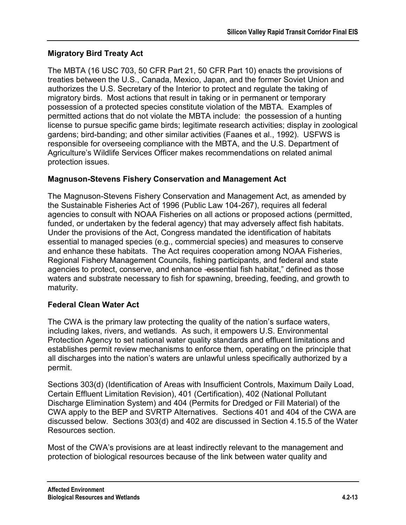### **Migratory Bird Treaty Act**

The MBTA (16 USC 703, 50 CFR Part 21, 50 CFR Part 10) enacts the provisions of treaties between the U.S., Canada, Mexico, Japan, and the former Soviet Union and authorizes the U.S. Secretary of the Interior to protect and regulate the taking of migratory birds. Most actions that result in taking or in permanent or temporary possession of a protected species constitute violation of the MBTA. Examples of permitted actions that do not violate the MBTA include: the possession of a hunting license to pursue specific game birds; legitimate research activities; display in zoological gardens; bird-banding; and other similar activities (Faanes et al., 1992). USFWS is responsible for overseeing compliance with the MBTA, and the U.S. Department of Agriculture's Wildlife Services Officer makes recommendations on related animal protection issues.

#### **Magnuson-Stevens Fishery Conservation and Management Act**

The Magnuson-Stevens Fishery Conservation and Management Act, as amended by the Sustainable Fisheries Act of 1996 (Public Law 104-267), requires all federal agencies to consult with NOAA Fisheries on all actions or proposed actions (permitted, funded, or undertaken by the federal agency) that may adversely affect fish habitats. Under the provisions of the Act, Congress mandated the identification of habitats essential to managed species (e.g., commercial species) and measures to conserve and enhance these habitats. The Act requires cooperation among NOAA Fisheries, Regional Fishery Management Councils, fishing participants, and federal and state agencies to protect, conserve, and enhance -essential fish habitat," defined as those waters and substrate necessary to fish for spawning, breeding, feeding, and growth to maturity.

#### **Federal Clean Water Act**

The CWA is the primary law protecting the quality of the nation's surface waters, including lakes, rivers, and wetlands. As such, it empowers U.S. Environmental Protection Agency to set national water quality standards and effluent limitations and establishes permit review mechanisms to enforce them, operating on the principle that all discharges into the nation's waters are unlawful unless specifically authorized by a permit.

Sections 303(d) (Identification of Areas with Insufficient Controls, Maximum Daily Load, Certain Effluent Limitation Revision), 401 (Certification), 402 (National Pollutant Discharge Elimination System) and 404 (Permits for Dredged or Fill Material) of the CWA apply to the BEP and SVRTP Alternatives. Sections 401 and 404 of the CWA are discussed below. Sections 303(d) and 402 are discussed in Section 4.15.5 of the Water Resources section.

Most of the CWA's provisions are at least indirectly relevant to the management and protection of biological resources because of the link between water quality and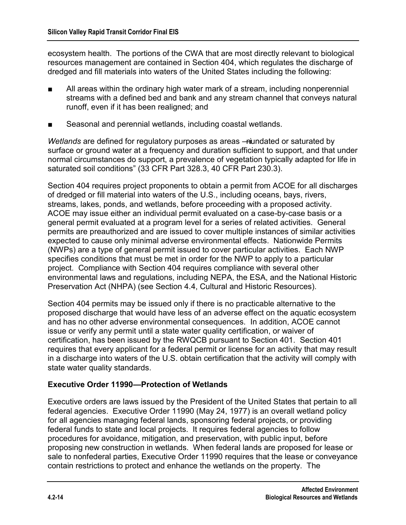ecosystem health. The portions of the CWA that are most directly relevant to biological resources management are contained in Section 404, which regulates the discharge of dredged and fill materials into waters of the United States including the following:

- All areas within the ordinary high water mark of a stream, including nonperennial streams with a defined bed and bank and any stream channel that conveys natural runoff, even if it has been realigned; and
- Seasonal and perennial wetlands, including coastal wetlands.

*Wetlands* are defined for regulatory purposes as areas — niundated or saturated by surface or ground water at a frequency and duration sufficient to support, and that under normal circumstances do support, a prevalence of vegetation typically adapted for life in saturated soil conditions" (33 CFR Part 328.3, 40 CFR Part 230.3).

Section 404 requires project proponents to obtain a permit from ACOE for all discharges of dredged or fill material into waters of the U.S., including oceans, bays, rivers, streams, lakes, ponds, and wetlands, before proceeding with a proposed activity. ACOE may issue either an individual permit evaluated on a case-by-case basis or a general permit evaluated at a program level for a series of related activities. General permits are preauthorized and are issued to cover multiple instances of similar activities expected to cause only minimal adverse environmental effects. Nationwide Permits (NWPs) are a type of general permit issued to cover particular activities. Each NWP specifies conditions that must be met in order for the NWP to apply to a particular project. Compliance with Section 404 requires compliance with several other environmental laws and regulations, including NEPA, the ESA, and the National Historic Preservation Act (NHPA) (see Section 4.4, Cultural and Historic Resources).

Section 404 permits may be issued only if there is no practicable alternative to the proposed discharge that would have less of an adverse effect on the aquatic ecosystem and has no other adverse environmental consequences. In addition, ACOE cannot issue or verify any permit until a state water quality certification, or waiver of certification, has been issued by the RWQCB pursuant to Section 401. Section 401 requires that every applicant for a federal permit or license for an activity that may result in a discharge into waters of the U.S. obtain certification that the activity will comply with state water quality standards.

#### **Executive Order 11990—Protection of Wetlands**

Executive orders are laws issued by the President of the United States that pertain to all federal agencies. Executive Order 11990 (May 24, 1977) is an overall wetland policy for all agencies managing federal lands, sponsoring federal projects, or providing federal funds to state and local projects. It requires federal agencies to follow procedures for avoidance, mitigation, and preservation, with public input, before proposing new construction in wetlands. When federal lands are proposed for lease or sale to nonfederal parties, Executive Order 11990 requires that the lease or conveyance contain restrictions to protect and enhance the wetlands on the property. The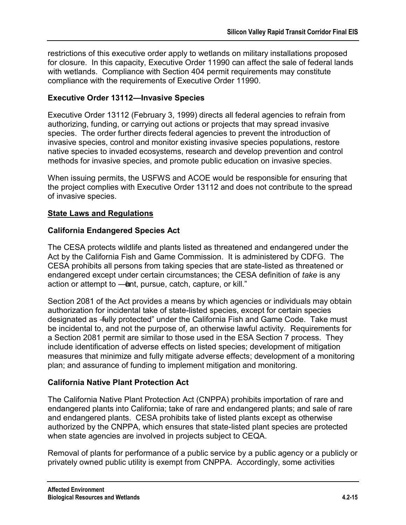restrictions of this executive order apply to wetlands on military installations proposed for closure. In this capacity, Executive Order 11990 can affect the sale of federal lands with wetlands. Compliance with Section 404 permit requirements may constitute compliance with the requirements of Executive Order 11990.

#### **Executive Order 13112—Invasive Species**

Executive Order 13112 (February 3, 1999) directs all federal agencies to refrain from authorizing, funding, or carrying out actions or projects that may spread invasive species. The order further directs federal agencies to prevent the introduction of invasive species, control and monitor existing invasive species populations, restore native species to invaded ecosystems, research and develop prevention and control methods for invasive species, and promote public education on invasive species.

When issuing permits, the USFWS and ACOE would be responsible for ensuring that the project complies with Executive Order 13112 and does not contribute to the spread of invasive species.

#### **State Laws and Regulations**

#### **California Endangered Species Act**

The CESA protects wildlife and plants listed as threatened and endangered under the Act by the California Fish and Game Commission. It is administered by CDFG. The CESA prohibits all persons from taking species that are state-listed as threatened or endangered except under certain circumstances; the CESA definition of *take* is any action or attempt to — thnt, pursue, catch, capture, or kill."

Section 2081 of the Act provides a means by which agencies or individuals may obtain authorization for incidental take of state-listed species, except for certain species designated as -fully protected" under the California Fish and Game Code. Take must be incidental to, and not the purpose of, an otherwise lawful activity. Requirements for a Section 2081 permit are similar to those used in the ESA Section 7 process. They include identification of adverse effects on listed species; development of mitigation measures that minimize and fully mitigate adverse effects; development of a monitoring plan; and assurance of funding to implement mitigation and monitoring.

#### **California Native Plant Protection Act**

The California Native Plant Protection Act (CNPPA) prohibits importation of rare and endangered plants into California; take of rare and endangered plants; and sale of rare and endangered plants. CESA prohibits take of listed plants except as otherwise authorized by the CNPPA, which ensures that state-listed plant species are protected when state agencies are involved in projects subject to CEQA.

Removal of plants for performance of a public service by a public agency or a publicly or privately owned public utility is exempt from CNPPA. Accordingly, some activities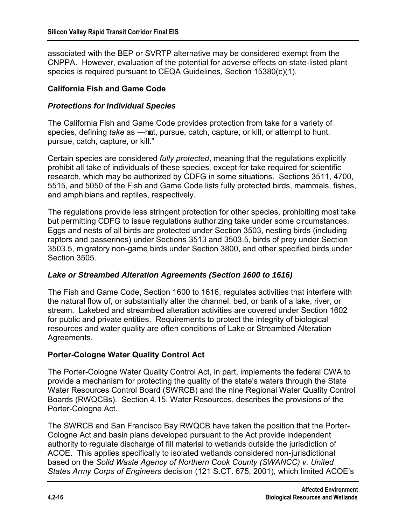associated with the BEP or SVRTP alternative may be considered exempt from the CNPPA. However, evaluation of the potential for adverse effects on state-listed plant species is required pursuant to CEQA Guidelines, Section 15380(c)(1).

#### **California Fish and Game Code**

#### *Protections for Individual Species*

The California Fish and Game Code provides protection from take for a variety of species, defining *take* as —hot, pursue, catch, capture, or kill, or attempt to hunt, pursue, catch, capture, or kill."

Certain species are considered *fully protected*, meaning that the regulations explicitly prohibit all take of individuals of these species, except for take required for scientific research, which may be authorized by CDFG in some situations. Sections 3511, 4700, 5515, and 5050 of the Fish and Game Code lists fully protected birds, mammals, fishes, and amphibians and reptiles, respectively.

The regulations provide less stringent protection for other species, prohibiting most take but permitting CDFG to issue regulations authorizing take under some circumstances. Eggs and nests of all birds are protected under Section 3503, nesting birds (including raptors and passerines) under Sections 3513 and 3503.5, birds of prey under Section 3503.5, migratory non-game birds under Section 3800, and other specified birds under Section 3505.

#### *Lake or Streambed Alteration Agreements (Section 1600 to 1616)*

The Fish and Game Code, Section 1600 to 1616, regulates activities that interfere with the natural flow of, or substantially alter the channel, bed, or bank of a lake, river, or stream. Lakebed and streambed alteration activities are covered under Section 1602 for public and private entities. Requirements to protect the integrity of biological resources and water quality are often conditions of Lake or Streambed Alteration Agreements.

#### **Porter-Cologne Water Quality Control Act**

The Porter-Cologne Water Quality Control Act, in part, implements the federal CWA to provide a mechanism for protecting the quality of the state's waters through the State Water Resources Control Board (SWRCB) and the nine Regional Water Quality Control Boards (RWQCBs). Section 4.15, Water Resources, describes the provisions of the Porter-Cologne Act.

The SWRCB and San Francisco Bay RWQCB have taken the position that the Porter-Cologne Act and basin plans developed pursuant to the Act provide independent authority to regulate discharge of fill material to wetlands outside the jurisdiction of ACOE. This applies specifically to isolated wetlands considered non-jurisdictional based on the *Solid Waste Agency of Northern Cook County (SWANCC) v. United States Army Corps of Engineers* decision (121 S.CT. 675, 2001), which limited ACOE's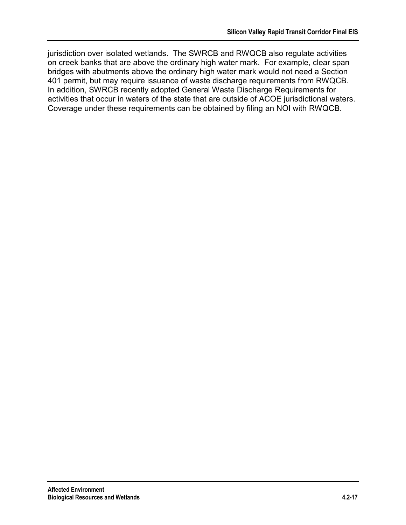jurisdiction over isolated wetlands. The SWRCB and RWQCB also regulate activities on creek banks that are above the ordinary high water mark. For example, clear span bridges with abutments above the ordinary high water mark would not need a Section 401 permit, but may require issuance of waste discharge requirements from RWQCB. In addition, SWRCB recently adopted General Waste Discharge Requirements for activities that occur in waters of the state that are outside of ACOE jurisdictional waters. Coverage under these requirements can be obtained by filing an NOI with RWQCB.